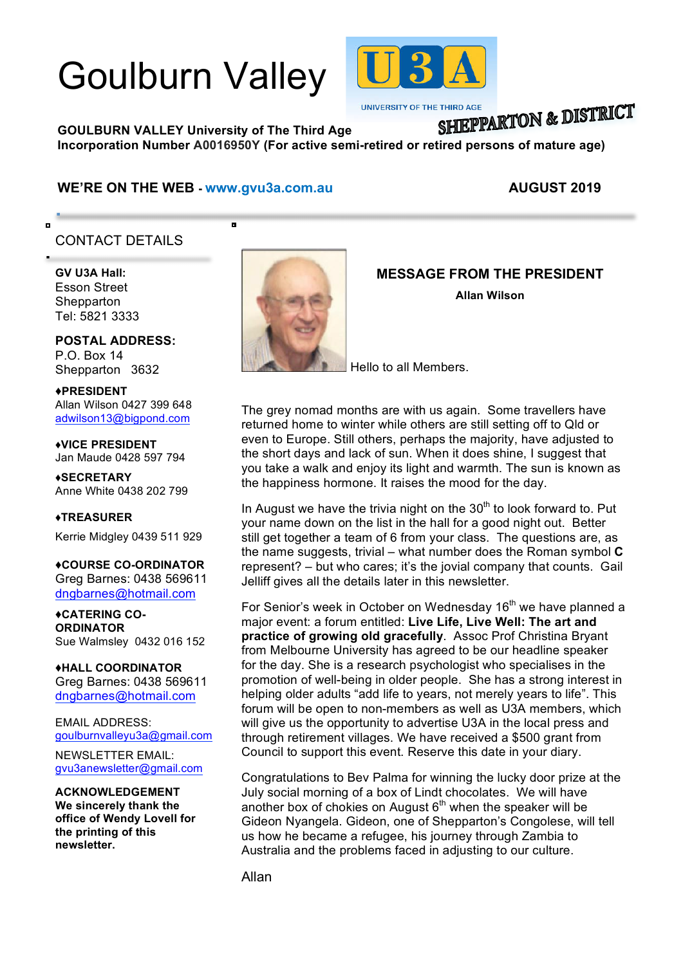# Goulburn Valley



**UNIVERSITY OF THE THIRD AGE** 

# SHIEPPARTON & DISTRICT

**GOULBURN VALLEY University of The Third Age Incorporation Number A0016950Y (For active semi-retired or retired persons of mature age)**

#### **WE'RE ON THE WEB - www.gvu3a.com.au AUGUST 2019**

Б

# CONTACT DETAILS

**GV U3A Hall:** Esson Street **Shepparton** Tel: 5821 3333

í

o

**POSTAL ADDRESS:** P.O. Box 14 Shepparton 3632

♦**PRESIDENT** Allan Wilson 0427 399 648 adwilson13@bigpond.com

♦**VICE PRESIDENT** Jan Maude 0428 597 794

**♦SECRETARY** Anne White 0438 202 799

**♦TREASURER**

Kerrie Midgley 0439 511 929

♦**COURSE CO-ORDINATOR** Greg Barnes: 0438 569611 dngbarnes@hotmail.com

♦**CATERING CO-ORDINATOR** Sue Walmsley 0432 016 152

♦**HALL COORDINATOR** Greg Barnes: 0438 569611 dngbarnes@hotmail.com

EMAIL ADDRESS: goulburnvalleyu3a@gmail.com

NEWSLETTER EMAIL: gvu3anewsletter@gmail.com

**ACKNOWLEDGEMENT We sincerely thank the office of Wendy Lovell for the printing of this newsletter.**



### **MESSAGE FROM THE PRESIDENT**

**Allan Wilson**

Hello to all Members.

The grey nomad months are with us again. Some travellers have returned home to winter while others are still setting off to Qld or even to Europe. Still others, perhaps the majority, have adjusted to the short days and lack of sun. When it does shine, I suggest that you take a walk and enjoy its light and warmth. The sun is known as the happiness hormone. It raises the mood for the day.

In August we have the trivia night on the  $30<sup>th</sup>$  to look forward to. Put your name down on the list in the hall for a good night out. Better still get together a team of 6 from your class. The questions are, as the name suggests, trivial – what number does the Roman symbol **C** represent? – but who cares; it's the jovial company that counts. Gail Jelliff gives all the details later in this newsletter.

For Senior's week in October on Wednesday 16<sup>th</sup> we have planned a major event: a forum entitled: **Live Life, Live Well: The art and practice of growing old gracefully**. Assoc Prof Christina Bryant from Melbourne University has agreed to be our headline speaker for the day. She is a research psychologist who specialises in the promotion of well-being in older people. She has a strong interest in helping older adults "add life to years, not merely years to life". This forum will be open to non-members as well as U3A members, which will give us the opportunity to advertise U3A in the local press and through retirement villages. We have received a \$500 grant from Council to support this event. Reserve this date in your diary.

Congratulations to Bev Palma for winning the lucky door prize at the July social morning of a box of Lindt chocolates. We will have another box of chokies on August  $6<sup>th</sup>$  when the speaker will be Gideon Nyangela. Gideon, one of Shepparton's Congolese, will tell us how he became a refugee, his journey through Zambia to Australia and the problems faced in adjusting to our culture.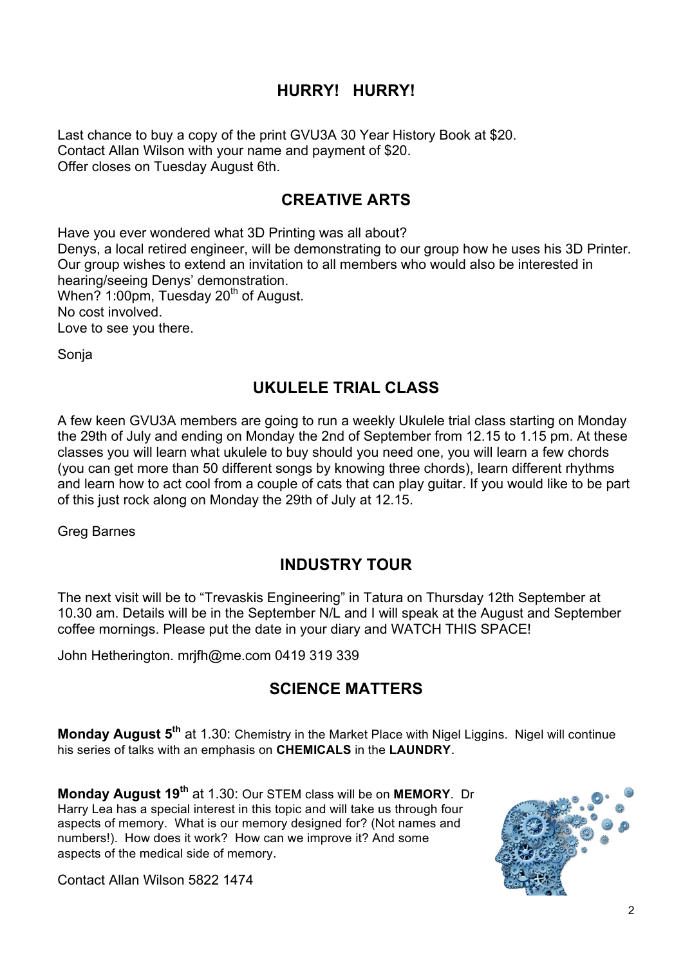# **HURRY! HURRY!**

Last chance to buy a copy of the print GVU3A 30 Year History Book at \$20. Contact Allan Wilson with your name and payment of \$20. Offer closes on Tuesday August 6th.

#### **CREATIVE ARTS**

Have you ever wondered what 3D Printing was all about? Denys, a local retired engineer, will be demonstrating to our group how he uses his 3D Printer. Our group wishes to extend an invitation to all members who would also be interested in hearing/seeing Denys' demonstration. When? 1:00pm, Tuesday  $20<sup>th</sup>$  of August. No cost involved. Love to see you there.

Sonja

# **UKULELE TRIAL CLASS**

A few keen GVU3A members are going to run a weekly Ukulele trial class starting on Monday the 29th of July and ending on Monday the 2nd of September from 12.15 to 1.15 pm. At these classes you will learn what ukulele to buy should you need one, you will learn a few chords (you can get more than 50 different songs by knowing three chords), learn different rhythms and learn how to act cool from a couple of cats that can play guitar. If you would like to be part of this just rock along on Monday the 29th of July at 12.15.

Greg Barnes

#### **INDUSTRY TOUR**

The next visit will be to "Trevaskis Engineering" in Tatura on Thursday 12th September at 10.30 am. Details will be in the September N/L and I will speak at the August and September coffee mornings. Please put the date in your diary and WATCH THIS SPACE!

John Hetherington. mrjfh@me.com 0419 319 339

#### **SCIENCE MATTERS**

Monday August 5<sup>th</sup> at 1.30: Chemistry in the Market Place with Nigel Liggins. Nigel will continue his series of talks with an emphasis on **CHEMICALS** in the **LAUNDRY**.

**Monday August 19th** at 1.30: Our STEM class will be on **MEMORY**. Dr Harry Lea has a special interest in this topic and will take us through four aspects of memory. What is our memory designed for? (Not names and numbers!). How does it work? How can we improve it? And some aspects of the medical side of memory.



Contact Allan Wilson 5822 1474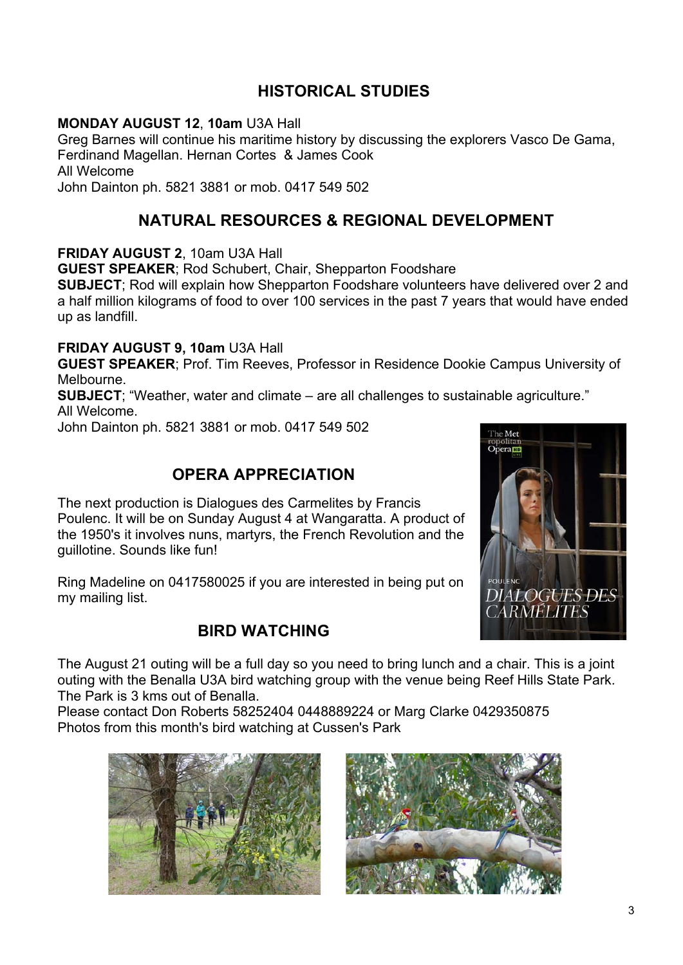# **HISTORICAL STUDIES**

#### **MONDAY AUGUST 12**, **10am** U3A Hall

Greg Barnes will continue his maritime history by discussing the explorers Vasco De Gama, Ferdinand Magellan. Hernan Cortes & James Cook All Welcome John Dainton ph. 5821 3881 or mob. 0417 549 502

## **NATURAL RESOURCES & REGIONAL DEVELOPMENT**

#### **FRIDAY AUGUST 2**, 10am U3A Hall

**GUEST SPEAKER**; Rod Schubert, Chair, Shepparton Foodshare

**SUBJECT**; Rod will explain how Shepparton Foodshare volunteers have delivered over 2 and a half million kilograms of food to over 100 services in the past 7 years that would have ended up as landfill.

#### **FRIDAY AUGUST 9, 10am** U3A Hall

**GUEST SPEAKER**; Prof. Tim Reeves, Professor in Residence Dookie Campus University of Melbourne.

**SUBJECT**; "Weather, water and climate – are all challenges to sustainable agriculture." All Welcome.

John Dainton ph. 5821 3881 or mob. 0417 549 502

### **OPERA APPRECIATION**

The next production is Dialogues des Carmelites by Francis Poulenc. It will be on Sunday August 4 at Wangaratta. A product of the 1950's it involves nuns, martyrs, the French Revolution and the guillotine. Sounds like fun!

Ring Madeline on 0417580025 if you are interested in being put on my mailing list.

#### **BIRD WATCHING**



The August 21 outing will be a full day so you need to bring lunch and a chair. This is a joint outing with the Benalla U3A bird watching group with the venue being Reef Hills State Park. The Park is 3 kms out of Benalla.

Please contact Don Roberts 58252404 0448889224 or Marg Clarke 0429350875 Photos from this month's bird watching at Cussen's Park



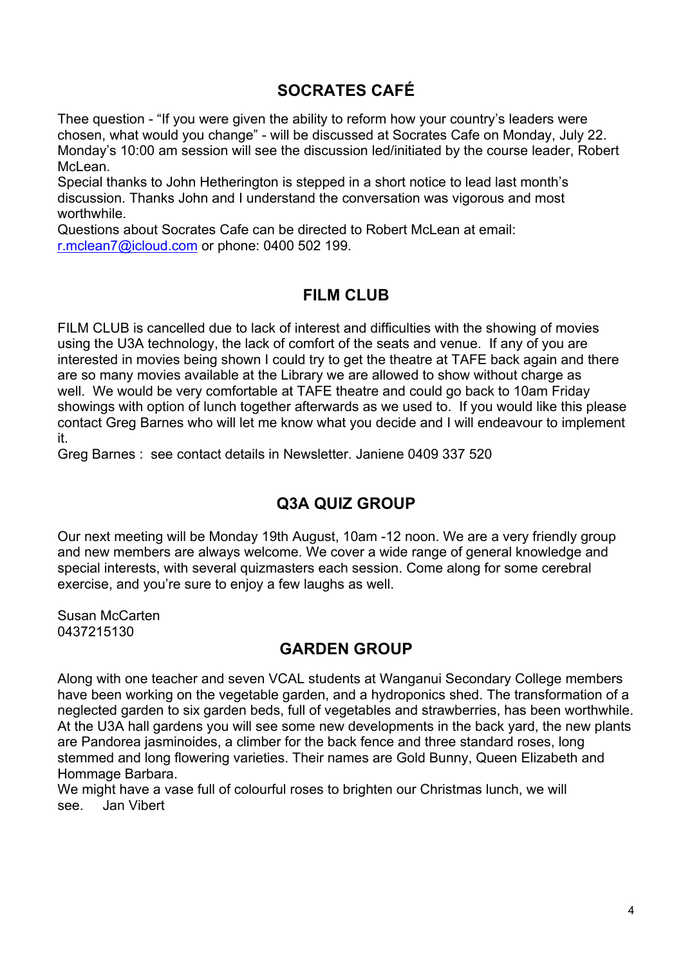# **SOCRATES CAFÉ**

Thee question - "If you were given the ability to reform how your country's leaders were chosen, what would you change" - will be discussed at Socrates Cafe on Monday, July 22. Monday's 10:00 am session will see the discussion led/initiated by the course leader, Robert McLean.

Special thanks to John Hetherington is stepped in a short notice to lead last month's discussion. Thanks John and I understand the conversation was vigorous and most worthwhile.

Questions about Socrates Cafe can be directed to Robert McLean at email: r.mclean7@icloud.com or phone: 0400 502 199.

#### **FILM CLUB**

FILM CLUB is cancelled due to lack of interest and difficulties with the showing of movies using the U3A technology, the lack of comfort of the seats and venue. If any of you are interested in movies being shown I could try to get the theatre at TAFE back again and there are so many movies available at the Library we are allowed to show without charge as well. We would be very comfortable at TAFE theatre and could go back to 10am Friday showings with option of lunch together afterwards as we used to. If you would like this please contact Greg Barnes who will let me know what you decide and I will endeavour to implement it.

Greg Barnes : see contact details in Newsletter. Janiene 0409 337 520

#### **Q3A QUIZ GROUP**

Our next meeting will be Monday 19th August, 10am -12 noon. We are a very friendly group and new members are always welcome. We cover a wide range of general knowledge and special interests, with several quizmasters each session. Come along for some cerebral exercise, and you're sure to enjoy a few laughs as well.

Susan McCarten 0437215130

#### **GARDEN GROUP**

Along with one teacher and seven VCAL students at Wanganui Secondary College members have been working on the vegetable garden, and a hydroponics shed. The transformation of a neglected garden to six garden beds, full of vegetables and strawberries, has been worthwhile. At the U3A hall gardens you will see some new developments in the back yard, the new plants are Pandorea jasminoides, a climber for the back fence and three standard roses, long stemmed and long flowering varieties. Their names are Gold Bunny, Queen Elizabeth and Hommage Barbara.

We might have a vase full of colourful roses to brighten our Christmas lunch, we will see. Jan Vibert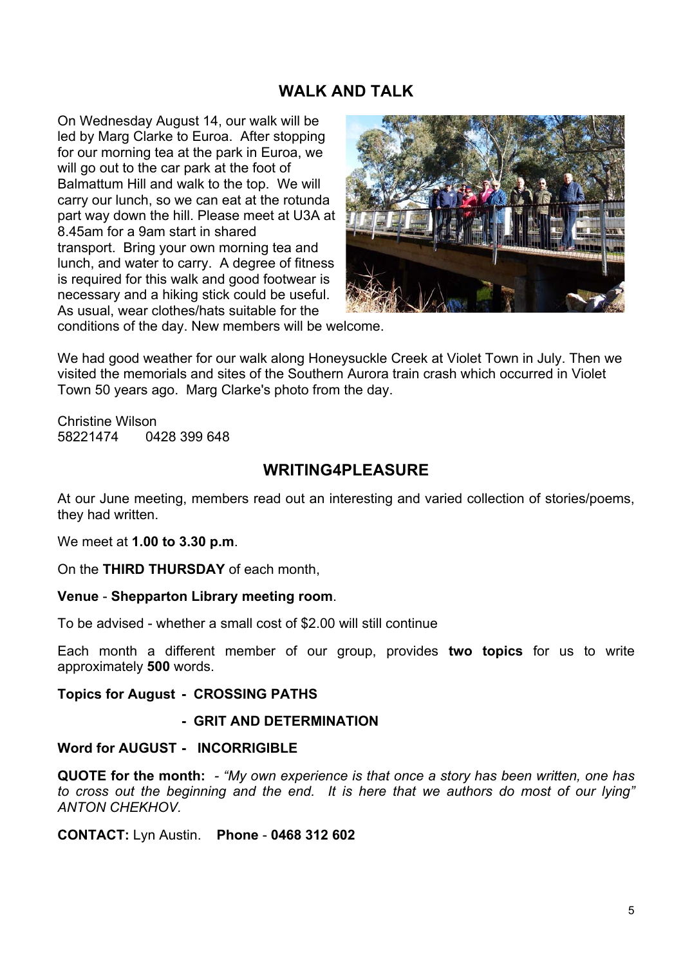#### **WALK AND TALK**

On Wednesday August 14, our walk will be led by Marg Clarke to Euroa. After stopping for our morning tea at the park in Euroa, we will go out to the car park at the foot of Balmattum Hill and walk to the top. We will carry our lunch, so we can eat at the rotunda part way down the hill. Please meet at U3A at 8.45am for a 9am start in shared transport. Bring your own morning tea and lunch, and water to carry. A degree of fitness is required for this walk and good footwear is necessary and a hiking stick could be useful. As usual, wear clothes/hats suitable for the



conditions of the day. New members will be welcome.

We had good weather for our walk along Honeysuckle Creek at Violet Town in July. Then we visited the memorials and sites of the Southern Aurora train crash which occurred in Violet Town 50 years ago. Marg Clarke's photo from the day.

Christine Wilson 58221474 0428 399 648

#### **WRITING4PLEASURE**

At our June meeting, members read out an interesting and varied collection of stories/poems, they had written.

We meet at **1.00 to 3.30 p.m**.

On the **THIRD THURSDAY** of each month,

#### **Venue** - **Shepparton Library meeting room**.

To be advised - whether a small cost of \$2.00 will still continue

Each month a different member of our group, provides **two topics** for us to write approximately **500** words.

#### **Topics for August - CROSSING PATHS**

#### **- GRIT AND DETERMINATION**

#### **Word for AUGUST - INCORRIGIBLE**

**QUOTE for the month:** *- "My own experience is that once a story has been written, one has to cross out the beginning and the end. It is here that we authors do most of our lying" ANTON CHEKHOV.*

**CONTACT:** Lyn Austin. **Phone** - **0468 312 602**